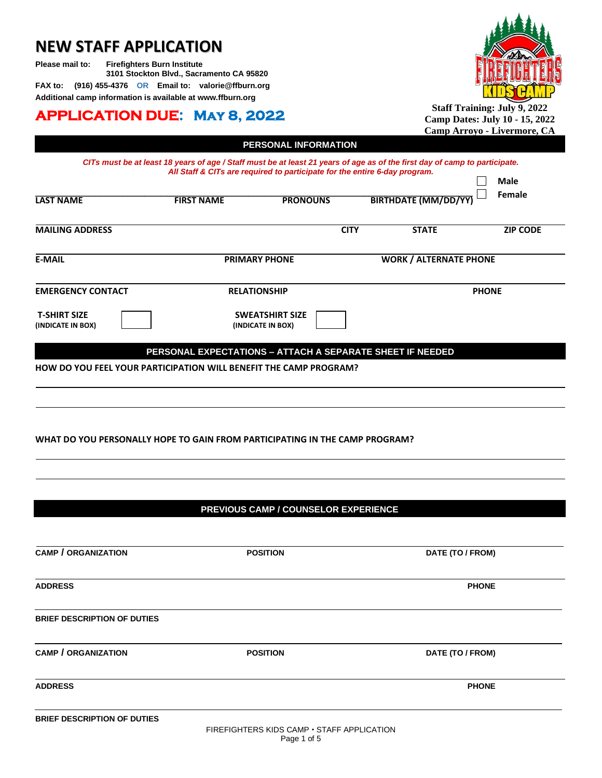# **NEW STAFF APPLICATION**

**Please mail to: Firefighters Burn Institute 3101 Stockton Blvd., Sacramento CA 95820 FAX to: (916) 455-4376 OR Email to: valorie@ffburn.org**

**Additional camp information is available at [www.ffburn.org](http://www.ffburn.org/)**

# **APPLICATION DUE: May 8, 2022**



**Staff Training: July 9, 2022 Camp Dates: July 10 - 15, 2022 Camp Arroyo - Livermore, CA**

|                                                                             |                                                                                                                                                                                                          |                                             |             |                               | <u> Camp Arroyo - Livermore, CA</u> |
|-----------------------------------------------------------------------------|----------------------------------------------------------------------------------------------------------------------------------------------------------------------------------------------------------|---------------------------------------------|-------------|-------------------------------|-------------------------------------|
|                                                                             |                                                                                                                                                                                                          | PERSONAL INFORMATION                        |             |                               |                                     |
|                                                                             | CITs must be at least 18 years of age / Staff must be at least 21 years of age as of the first day of camp to participate.<br>All Staff & CITs are required to participate for the entire 6-day program. |                                             |             |                               |                                     |
|                                                                             |                                                                                                                                                                                                          |                                             |             |                               | <b>Male</b>                         |
|                                                                             |                                                                                                                                                                                                          |                                             |             |                               | Female                              |
| <b>LAST NAME</b>                                                            | <b>FIRST NAME</b>                                                                                                                                                                                        | <b>PRONOUNS</b>                             |             | <b>BIRTHDATE (MM/DD/YY</b>    |                                     |
| <b>MAILING ADDRESS</b>                                                      |                                                                                                                                                                                                          |                                             | <b>CITY</b> | <b>STATE</b>                  | <b>ZIP CODE</b>                     |
| <b>E-MAIL</b>                                                               |                                                                                                                                                                                                          | <b>PRIMARY PHONE</b>                        |             | <b>WORK / ALTERNATE PHONE</b> |                                     |
| <b>EMERGENCY CONTACT</b>                                                    | <b>RELATIONSHIP</b>                                                                                                                                                                                      |                                             |             | <b>PHONE</b>                  |                                     |
|                                                                             |                                                                                                                                                                                                          |                                             |             |                               |                                     |
| <b>T-SHIRT SIZE</b><br>(INDICATE IN BOX)                                    |                                                                                                                                                                                                          | <b>SWEATSHIRT SIZE</b><br>(INDICATE IN BOX) |             |                               |                                     |
|                                                                             | PERSONAL EXPECTATIONS - ATTACH A SEPARATE SHEET IF NEEDED                                                                                                                                                |                                             |             |                               |                                     |
| <b>HOW DO YOU FEEL YOUR PARTICIPATION WILL BENEFIT THE CAMP PROGRAM?</b>    |                                                                                                                                                                                                          |                                             |             |                               |                                     |
|                                                                             |                                                                                                                                                                                                          |                                             |             |                               |                                     |
|                                                                             |                                                                                                                                                                                                          |                                             |             |                               |                                     |
|                                                                             |                                                                                                                                                                                                          |                                             |             |                               |                                     |
|                                                                             |                                                                                                                                                                                                          |                                             |             |                               |                                     |
| WHAT DO YOU PERSONALLY HOPE TO GAIN FROM PARTICIPATING IN THE CAMP PROGRAM? |                                                                                                                                                                                                          |                                             |             |                               |                                     |
|                                                                             |                                                                                                                                                                                                          |                                             |             |                               |                                     |
|                                                                             |                                                                                                                                                                                                          |                                             |             |                               |                                     |
|                                                                             |                                                                                                                                                                                                          |                                             |             |                               |                                     |
|                                                                             |                                                                                                                                                                                                          |                                             |             |                               |                                     |
|                                                                             |                                                                                                                                                                                                          |                                             |             |                               |                                     |
|                                                                             |                                                                                                                                                                                                          | PREVIOUS CAMP / COUNSELOR EXPERIENCE        |             |                               |                                     |
|                                                                             |                                                                                                                                                                                                          |                                             |             |                               |                                     |
| <b>CAMP / ORGANIZATION</b>                                                  |                                                                                                                                                                                                          |                                             |             |                               |                                     |
|                                                                             |                                                                                                                                                                                                          | <b>POSITION</b>                             |             | DATE (TO / FROM)              |                                     |
|                                                                             |                                                                                                                                                                                                          |                                             |             |                               |                                     |
| <b>ADDRESS</b>                                                              |                                                                                                                                                                                                          |                                             |             |                               | <b>PHONE</b>                        |
|                                                                             |                                                                                                                                                                                                          |                                             |             |                               |                                     |
| <b>BRIEF DESCRIPTION OF DUTIES</b>                                          |                                                                                                                                                                                                          |                                             |             |                               |                                     |
|                                                                             |                                                                                                                                                                                                          |                                             |             |                               |                                     |
| <b>CAMP / ORGANIZATION</b>                                                  | <b>POSITION</b>                                                                                                                                                                                          |                                             |             | DATE (TO / FROM)              |                                     |
| <b>ADDRESS</b>                                                              |                                                                                                                                                                                                          |                                             |             |                               | <b>PHONE</b>                        |
|                                                                             |                                                                                                                                                                                                          |                                             |             |                               |                                     |
| <b>BRIEF DESCRIPTION OF DUTIES</b>                                          |                                                                                                                                                                                                          |                                             |             |                               |                                     |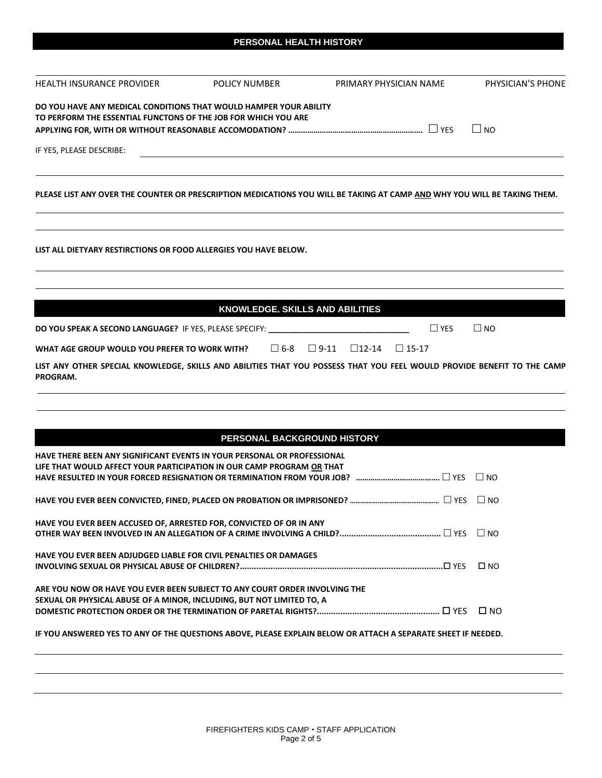|  | PERSONAL HEALTH HISTORY |  |
|--|-------------------------|--|
|  |                         |  |
|  |                         |  |

| <b>HEALTH INSURANCE PROVIDER</b>                                                                                                                    | POLICY NUMBER                          | PRIMARY PHYSICIAN NAME                                                                                                   | PHYSICIAN'S PHONE |
|-----------------------------------------------------------------------------------------------------------------------------------------------------|----------------------------------------|--------------------------------------------------------------------------------------------------------------------------|-------------------|
| DO YOU HAVE ANY MEDICAL CONDITIONS THAT WOULD HAMPER YOUR ABILITY<br>TO PERFORM THE ESSENTIAL FUNCTONS OF THE JOB FOR WHICH YOU ARE                 |                                        |                                                                                                                          | $\Box$ NO         |
| IF YES, PLEASE DESCRIBE:                                                                                                                            |                                        |                                                                                                                          |                   |
|                                                                                                                                                     |                                        |                                                                                                                          |                   |
|                                                                                                                                                     |                                        | PLEASE LIST ANY OVER THE COUNTER OR PRESCRIPTION MEDICATIONS YOU WILL BE TAKING AT CAMP AND WHY YOU WILL BE TAKING THEM. |                   |
| LIST ALL DIETYARY RESTIRCTIONS OR FOOD ALLERGIES YOU HAVE BELOW.                                                                                    |                                        |                                                                                                                          |                   |
|                                                                                                                                                     |                                        |                                                                                                                          |                   |
|                                                                                                                                                     | <b>KNOWLEDGE, SKILLS AND ABILITIES</b> |                                                                                                                          |                   |
| DO YOU SPEAK A SECOND LANGUAGE? IF YES, PLEASE SPECIFY: _______________                                                                             |                                        | $\Box$ YES                                                                                                               | $\Box$ NO         |
| WHAT AGE GROUP WOULD YOU PREFER TO WORK WITH?                                                                                                       | □ 6-8                                  | $\Box$ 9-11<br>$\square$ 12-14<br>$\Box$ 15-17                                                                           |                   |
| PROGRAM.                                                                                                                                            |                                        | LIST ANY OTHER SPECIAL KNOWLEDGE, SKILLS AND ABILITIES THAT YOU POSSESS THAT YOU FEEL WOULD PROVIDE BENEFIT TO THE CAMP  |                   |
|                                                                                                                                                     |                                        |                                                                                                                          |                   |
|                                                                                                                                                     |                                        |                                                                                                                          |                   |
| HAVE THERE BEEN ANY SIGNIFICANT EVENTS IN YOUR PERSONAL OR PROFESSIONAL                                                                             | PERSONAL BACKGROUND HISTORY            |                                                                                                                          |                   |
| LIFE THAT WOULD AFFECT YOUR PARTICIPATION IN OUR CAMP PROGRAM OR THAT                                                                               |                                        |                                                                                                                          |                   |
|                                                                                                                                                     |                                        |                                                                                                                          |                   |
|                                                                                                                                                     |                                        |                                                                                                                          |                   |
| HAVE YOU EVER BEEN ACCUSED OF, ARRESTED FOR, CONVICTED OF OR IN ANY                                                                                 |                                        |                                                                                                                          | $\Box$ NO         |
| <b>HAVE YOU EVER BEEN ADJUDGED LIABLE FOR CIVIL PENALTIES OR DAMAGES</b>                                                                            |                                        |                                                                                                                          | $\square$ NO      |
| ARE YOU NOW OR HAVE YOU EVER BEEN SUBJECT TO ANY COURT ORDER INVOLVING THE<br>SEXUAL OR PHYSICAL ABUSE OF A MINOR, INCLUDING, BUT NOT LIMITED TO, A |                                        |                                                                                                                          |                   |
|                                                                                                                                                     |                                        |                                                                                                                          | $\square$ NO      |
|                                                                                                                                                     |                                        | IF YOU ANSWERED YES TO ANY OF THE QUESTIONS ABOVE, PLEASE EXPLAIN BELOW OR ATTACH A SEPARATE SHEET IF NEEDED.            |                   |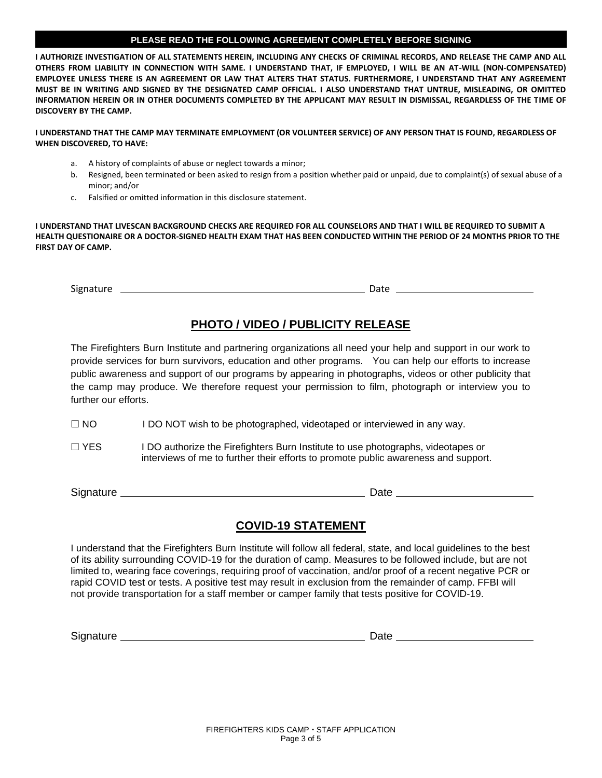### **PLEASE READ THE FOLLOWING AGREEMENT COMPLETELY BEFORE SIGNING**

**I AUTHORIZE INVESTIGATION OF ALL STATEMENTS HEREIN, INCLUDING ANY CHECKS OF CRIMINAL RECORDS, AND RELEASE THE CAMP AND ALL OTHERS FROM LIABILITY IN CONNECTION WITH SAME. I UNDERSTAND THAT, IF EMPLOYED, I WILL BE AN AT-WILL (NON-COMPENSATED) EMPLOYEE UNLESS THERE IS AN AGREEMENT OR LAW THAT ALTERS THAT STATUS. FURTHERMORE, I UNDERSTAND THAT ANY AGREEMENT MUST BE IN WRITING AND SIGNED BY THE DESIGNATED CAMP OFFICIAL. I ALSO UNDERSTAND THAT UNTRUE, MISLEADING, OR OMITTED INFORMATION HEREIN OR IN OTHER DOCUMENTS COMPLETED BY THE APPLICANT MAY RESULT IN DISMISSAL, REGARDLESS OF THE TIME OF DISCOVERY BY THE CAMP.**

#### **I UNDERSTAND THAT THE CAMP MAY TERMINATE EMPLOYMENT (OR VOLUNTEER SERVICE) OF ANY PERSON THAT IS FOUND, REGARDLESS OF WHEN DISCOVERED, TO HAVE:**

- a. A history of complaints of abuse or neglect towards a minor;
- b. Resigned, been terminated or been asked to resign from a position whether paid or unpaid, due to complaint(s) of sexual abuse of a minor; and/or
- c. Falsified or omitted information in this disclosure statement.

**I UNDERSTAND THAT LIVESCAN BACKGROUND CHECKS ARE REQUIRED FOR ALL COUNSELORS AND THAT I WILL BE REQUIRED TO SUBMIT A HEALTH QUESTIONAIRE OR A DOCTOR-SIGNED HEALTH EXAM THAT HAS BEEN CONDUCTED WITHIN THE PERIOD OF 24 MONTHS PRIOR TO THE FIRST DAY OF CAMP.**

Signature Date

# **PHOTO / VIDEO / PUBLICITY RELEASE**

The Firefighters Burn Institute and partnering organizations all need your help and support in our work to provide services for burn survivors, education and other programs. You can help our efforts to increase public awareness and support of our programs by appearing in photographs, videos or other publicity that the camp may produce. We therefore request your permission to film, photograph or interview you to further our efforts.

- $\Box$  NO I DO NOT wish to be photographed, videotaped or interviewed in any way.
- $\Box$  YES I DO authorize the Firefighters Burn Institute to use photographs, videotapes or interviews of me to further their efforts to promote public awareness and support.

Signature **Date Date** 

### **COVID-19 STATEMENT**

I understand that the Firefighters Burn Institute will follow all federal, state, and local guidelines to the best of its ability surrounding COVID-19 for the duration of camp. Measures to be followed include, but are not limited to, wearing face coverings, requiring proof of vaccination, and/or proof of a recent negative PCR or rapid COVID test or tests. A positive test may result in exclusion from the remainder of camp. FFBI will not provide transportation for a staff member or camper family that tests positive for COVID-19.

Signature Date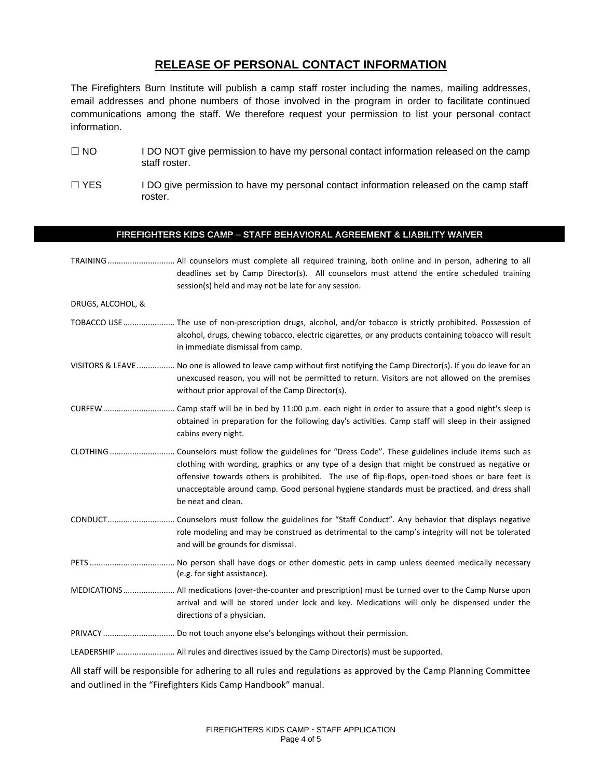## **RELEASE OF PERSONAL CONTACT INFORMATION**

The Firefighters Burn Institute will publish a camp staff roster including the names, mailing addresses, email addresses and phone numbers of those involved in the program in order to facilitate continued communications among the staff. We therefore request your permission to list your personal contact information.

- $\Box$  NO I DO NOT give permission to have my personal contact information released on the camp staff roster.
- $\Box$  YES I DO give permission to have my personal contact information released on the camp staff roster.

## FIREFIGHTERS KIDS CAMP = STAFF BEHAVIORAL AGREEMENT & LIABILITY WAIVER

|                   | TRAINING  All counselors must complete all required training, both online and in person, adhering to all<br>deadlines set by Camp Director(s). All counselors must attend the entire scheduled training<br>session(s) held and may not be late for any session.                                                                                                                                                            |
|-------------------|----------------------------------------------------------------------------------------------------------------------------------------------------------------------------------------------------------------------------------------------------------------------------------------------------------------------------------------------------------------------------------------------------------------------------|
| DRUGS, ALCOHOL, & |                                                                                                                                                                                                                                                                                                                                                                                                                            |
|                   | TOBACCO USE  The use of non-prescription drugs, alcohol, and/or tobacco is strictly prohibited. Possession of<br>alcohol, drugs, chewing tobacco, electric cigarettes, or any products containing tobacco will result<br>in immediate dismissal from camp.                                                                                                                                                                 |
|                   | VISITORS & LEAVE No one is allowed to leave camp without first notifying the Camp Director(s). If you do leave for an<br>unexcused reason, you will not be permitted to return. Visitors are not allowed on the premises<br>without prior approval of the Camp Director(s).                                                                                                                                                |
|                   | obtained in preparation for the following day's activities. Camp staff will sleep in their assigned<br>cabins every night.                                                                                                                                                                                                                                                                                                 |
| CLOTHING          | . Counselors must follow the guidelines for "Dress Code". These guidelines include items such as<br>clothing with wording, graphics or any type of a design that might be construed as negative or<br>offensive towards others is prohibited. The use of flip-flops, open-toed shoes or bare feet is<br>unacceptable around camp. Good personal hygiene standards must be practiced, and dress shall<br>be neat and clean. |
|                   | role modeling and may be construed as detrimental to the camp's integrity will not be tolerated<br>and will be grounds for dismissal.                                                                                                                                                                                                                                                                                      |
|                   | (e.g. for sight assistance).                                                                                                                                                                                                                                                                                                                                                                                               |
|                   | MEDICATIONS All medications (over-the-counter and prescription) must be turned over to the Camp Nurse upon<br>arrival and will be stored under lock and key. Medications will only be dispensed under the<br>directions of a physician.                                                                                                                                                                                    |
|                   |                                                                                                                                                                                                                                                                                                                                                                                                                            |
|                   |                                                                                                                                                                                                                                                                                                                                                                                                                            |
|                   | All staff will be responsible for adhering to all rules and requisions as approved by the Camp Planning Committee                                                                                                                                                                                                                                                                                                          |

All staff will be responsible for adhering to all rules and regulations as approved by the Camp Planning Committee and outlined in the "Firefighters Kids Camp Handbook" manual.